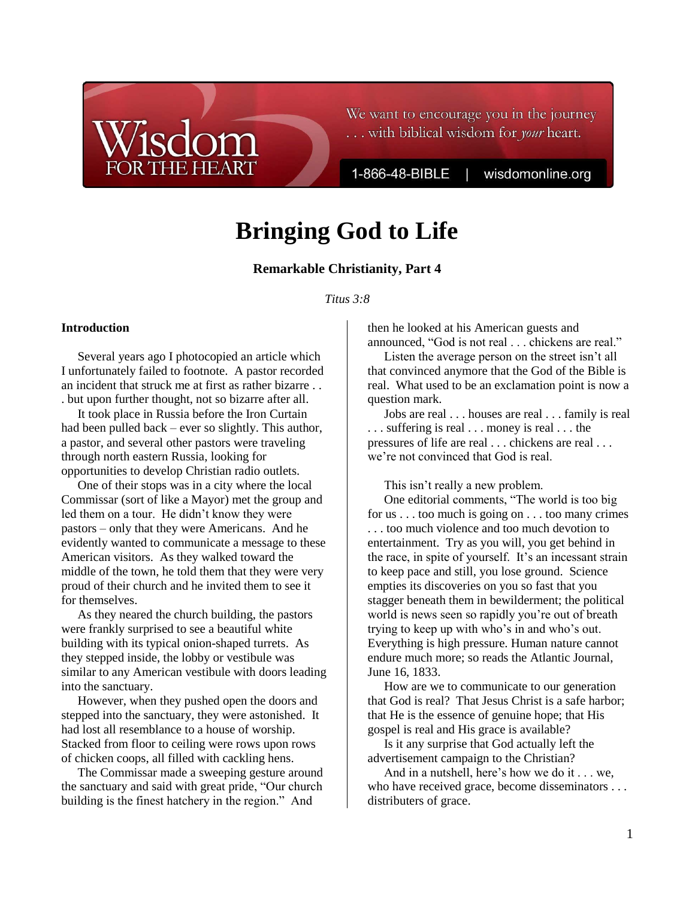We want to encourage you in the journey ... with biblical wisdom for *your* heart.

1-866-48-BIBLE

wisdomonline.org

# **Bringing God to Life**

# **Remarkable Christianity, Part 4**

#### *Titus 3:8*

#### **Introduction**

Several years ago I photocopied an article which I unfortunately failed to footnote. A pastor recorded an incident that struck me at first as rather bizarre . . . but upon further thought, not so bizarre after all.

**THE HEART** 

It took place in Russia before the Iron Curtain had been pulled back – ever so slightly. This author, a pastor, and several other pastors were traveling through north eastern Russia, looking for opportunities to develop Christian radio outlets.

One of their stops was in a city where the local Commissar (sort of like a Mayor) met the group and led them on a tour. He didn't know they were pastors – only that they were Americans. And he evidently wanted to communicate a message to these American visitors. As they walked toward the middle of the town, he told them that they were very proud of their church and he invited them to see it for themselves.

As they neared the church building, the pastors were frankly surprised to see a beautiful white building with its typical onion-shaped turrets. As they stepped inside, the lobby or vestibule was similar to any American vestibule with doors leading into the sanctuary.

However, when they pushed open the doors and stepped into the sanctuary, they were astonished. It had lost all resemblance to a house of worship. Stacked from floor to ceiling were rows upon rows of chicken coops, all filled with cackling hens.

The Commissar made a sweeping gesture around the sanctuary and said with great pride, "Our church building is the finest hatchery in the region." And

then he looked at his American guests and announced, "God is not real . . . chickens are real."

Listen the average person on the street isn't all that convinced anymore that the God of the Bible is real. What used to be an exclamation point is now a question mark.

Jobs are real . . . houses are real . . . family is real . . . suffering is real . . . money is real . . . the pressures of life are real . . . chickens are real . . . we're not convinced that God is real.

This isn't really a new problem.

One editorial comments, "The world is too big for us . . . too much is going on . . . too many crimes . . . too much violence and too much devotion to entertainment. Try as you will, you get behind in the race, in spite of yourself. It's an incessant strain to keep pace and still, you lose ground. Science empties its discoveries on you so fast that you stagger beneath them in bewilderment; the political world is news seen so rapidly you're out of breath trying to keep up with who's in and who's out. Everything is high pressure. Human nature cannot endure much more; so reads the Atlantic Journal, June 16, 1833.

How are we to communicate to our generation that God is real? That Jesus Christ is a safe harbor; that He is the essence of genuine hope; that His gospel is real and His grace is available?

Is it any surprise that God actually left the advertisement campaign to the Christian?

And in a nutshell, here's how we do it . . . we, who have received grace, become disseminators . . . distributers of grace.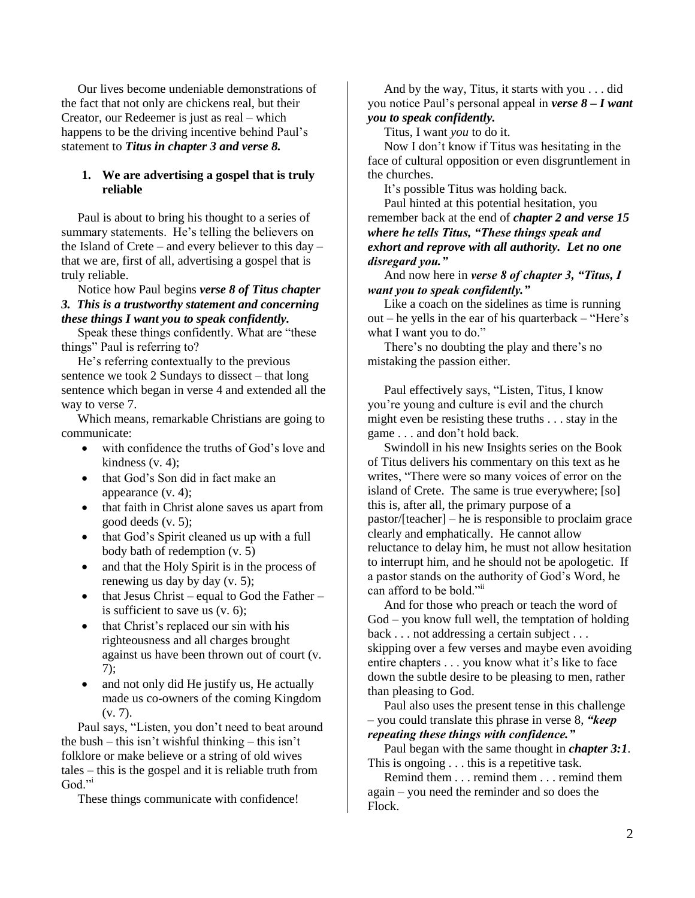Our lives become undeniable demonstrations of the fact that not only are chickens real, but their Creator, our Redeemer is just as real – which happens to be the driving incentive behind Paul's statement to *Titus in chapter 3 and verse 8.*

## **1. We are advertising a gospel that is truly reliable**

Paul is about to bring his thought to a series of summary statements. He's telling the believers on the Island of Crete – and every believer to this day – that we are, first of all, advertising a gospel that is truly reliable.

Notice how Paul begins *verse 8 of Titus chapter 3. This is a trustworthy statement and concerning these things I want you to speak confidently.*

Speak these things confidently. What are "these things" Paul is referring to?

He's referring contextually to the previous sentence we took 2 Sundays to dissect – that long sentence which began in verse 4 and extended all the way to verse 7.

Which means, remarkable Christians are going to communicate:

- with confidence the truths of God's love and kindness (v. 4);
- that God's Son did in fact make an appearance (v. 4);
- that faith in Christ alone saves us apart from good deeds (v. 5);
- that God's Spirit cleaned us up with a full body bath of redemption (v. 5)
- and that the Holy Spirit is in the process of renewing us day by day (v. 5);
- that Jesus Christ equal to God the Father is sufficient to save us (v. 6);
- that Christ's replaced our sin with his righteousness and all charges brought against us have been thrown out of court (v. 7);
- and not only did He justify us, He actually made us co-owners of the coming Kingdom  $(v, 7)$ .

Paul says, "Listen, you don't need to beat around the bush – this isn't wishful thinking – this isn't folklore or make believe or a string of old wives tales – this is the gospel and it is reliable truth from God."

These things communicate with confidence!

And by the way, Titus, it starts with you . . . did you notice Paul's personal appeal in *verse 8 – I want you to speak confidently.*

Titus, I want *you* to do it.

Now I don't know if Titus was hesitating in the face of cultural opposition or even disgruntlement in the churches.

It's possible Titus was holding back.

Paul hinted at this potential hesitation, you remember back at the end of *chapter 2 and verse 15 where he tells Titus, "These things speak and exhort and reprove with all authority. Let no one disregard you."*

And now here in *verse 8 of chapter 3, "Titus, I want you to speak confidently."*

Like a coach on the sidelines as time is running out – he yells in the ear of his quarterback – "Here's what I want you to do."

There's no doubting the play and there's no mistaking the passion either.

Paul effectively says, "Listen, Titus, I know you're young and culture is evil and the church might even be resisting these truths . . . stay in the game . . . and don't hold back.

Swindoll in his new Insights series on the Book of Titus delivers his commentary on this text as he writes, "There were so many voices of error on the island of Crete. The same is true everywhere; [so] this is, after all, the primary purpose of a pastor/[teacher] – he is responsible to proclaim grace clearly and emphatically. He cannot allow reluctance to delay him, he must not allow hesitation to interrupt him, and he should not be apologetic. If a pastor stands on the authority of God's Word, he can afford to be bold."ii

And for those who preach or teach the word of God – you know full well, the temptation of holding back . . . not addressing a certain subject . . . skipping over a few verses and maybe even avoiding entire chapters . . . you know what it's like to face down the subtle desire to be pleasing to men, rather than pleasing to God.

Paul also uses the present tense in this challenge – you could translate this phrase in verse 8, *"keep* 

*repeating these things with confidence."*

Paul began with the same thought in *chapter 3:1*. This is ongoing . . . this is a repetitive task.

Remind them . . . remind them . . . remind them again – you need the reminder and so does the Flock.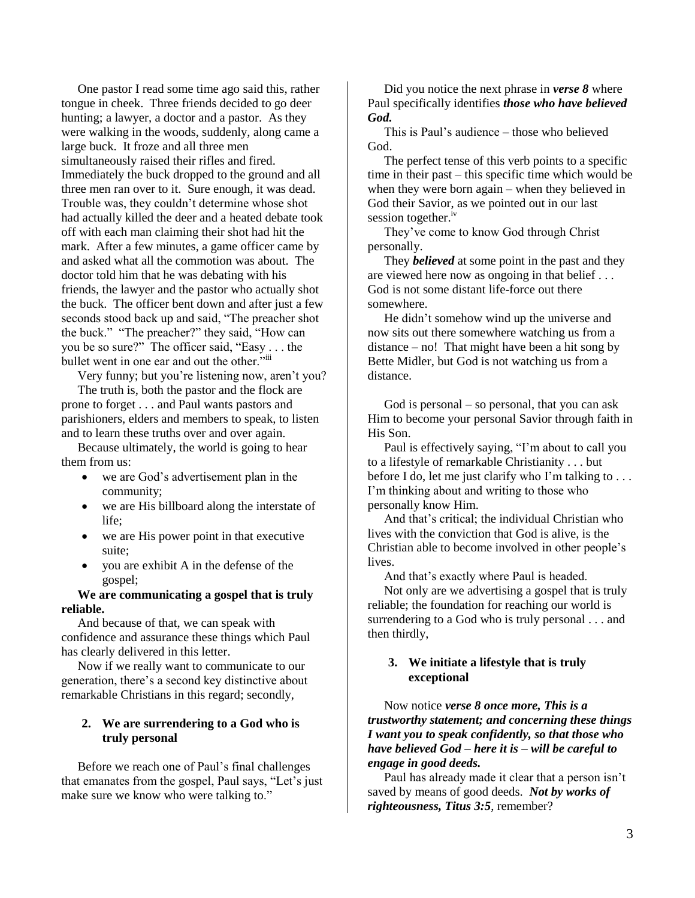One pastor I read some time ago said this, rather tongue in cheek. Three friends decided to go deer hunting; a lawyer, a doctor and a pastor. As they were walking in the woods, suddenly, along came a large buck. It froze and all three men simultaneously raised their rifles and fired. Immediately the buck dropped to the ground and all three men ran over to it. Sure enough, it was dead. Trouble was, they couldn't determine whose shot had actually killed the deer and a heated debate took off with each man claiming their shot had hit the mark. After a few minutes, a game officer came by and asked what all the commotion was about. The doctor told him that he was debating with his friends, the lawyer and the pastor who actually shot the buck. The officer bent down and after just a few seconds stood back up and said, "The preacher shot the buck." "The preacher?" they said, "How can you be so sure?" The officer said, "Easy . . . the bullet went in one ear and out the other."

Very funny; but you're listening now, aren't you?

The truth is, both the pastor and the flock are prone to forget . . . and Paul wants pastors and parishioners, elders and members to speak, to listen and to learn these truths over and over again.

Because ultimately, the world is going to hear them from us:

- we are God's advertisement plan in the community;
- we are His billboard along the interstate of life;
- we are His power point in that executive suite;
- you are exhibit A in the defense of the gospel;

# **We are communicating a gospel that is truly reliable.**

And because of that, we can speak with confidence and assurance these things which Paul has clearly delivered in this letter.

Now if we really want to communicate to our generation, there's a second key distinctive about remarkable Christians in this regard; secondly,

# **2. We are surrendering to a God who is truly personal**

Before we reach one of Paul's final challenges that emanates from the gospel, Paul says, "Let's just make sure we know who were talking to."

Did you notice the next phrase in *verse 8* where Paul specifically identifies *those who have believed God.*

This is Paul's audience – those who believed God.

The perfect tense of this verb points to a specific time in their past – this specific time which would be when they were born again – when they believed in God their Savior, as we pointed out in our last session together.<sup>iv</sup>

They've come to know God through Christ personally.

They *believed* at some point in the past and they are viewed here now as ongoing in that belief . . . God is not some distant life-force out there somewhere.

He didn't somehow wind up the universe and now sits out there somewhere watching us from a distance – no! That might have been a hit song by Bette Midler, but God is not watching us from a distance.

God is personal – so personal, that you can ask Him to become your personal Savior through faith in His Son.

Paul is effectively saying, "I'm about to call you to a lifestyle of remarkable Christianity . . . but before I do, let me just clarify who I'm talking to . . . I'm thinking about and writing to those who personally know Him.

And that's critical; the individual Christian who lives with the conviction that God is alive, is the Christian able to become involved in other people's lives.

And that's exactly where Paul is headed. Not only are we advertising a gospel that is truly reliable; the foundation for reaching our world is surrendering to a God who is truly personal . . . and then thirdly,

# **3. We initiate a lifestyle that is truly exceptional**

Now notice *verse 8 once more, This is a trustworthy statement; and concerning these things I want you to speak confidently, so that those who have believed God – here it is – will be careful to engage in good deeds.*

Paul has already made it clear that a person isn't saved by means of good deeds. *Not by works of righteousness, Titus 3:5*, remember?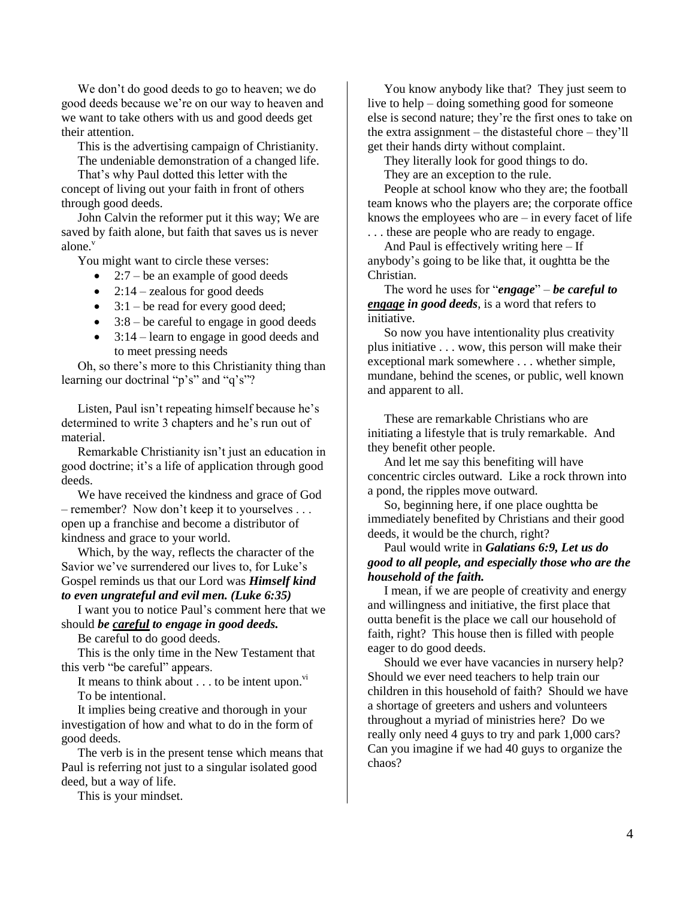We don't do good deeds to go to heaven; we do good deeds because we're on our way to heaven and we want to take others with us and good deeds get their attention.

This is the advertising campaign of Christianity. The undeniable demonstration of a changed life.

That's why Paul dotted this letter with the concept of living out your faith in front of others through good deeds.

John Calvin the reformer put it this way; We are saved by faith alone, but faith that saves us is never alone.<sup>v</sup>

You might want to circle these verses:

 $\bullet$  2:7 – be an example of good deeds

 $\bullet$  2:14 – zealous for good deeds

 $\bullet$  3:1 – be read for every good deed;

- $\bullet$  3:8 be careful to engage in good deeds
- 3:14 learn to engage in good deeds and to meet pressing needs

Oh, so there's more to this Christianity thing than learning our doctrinal "p's" and "q's"?

Listen, Paul isn't repeating himself because he's determined to write 3 chapters and he's run out of material.

Remarkable Christianity isn't just an education in good doctrine; it's a life of application through good deeds.

We have received the kindness and grace of God – remember? Now don't keep it to yourselves . . . open up a franchise and become a distributor of kindness and grace to your world.

Which, by the way, reflects the character of the Savior we've surrendered our lives to, for Luke's Gospel reminds us that our Lord was *Himself kind to even ungrateful and evil men. (Luke 6:35)*

I want you to notice Paul's comment here that we should *be careful to engage in good deeds.*

Be careful to do good deeds.

This is the only time in the New Testament that this verb "be careful" appears.

It means to think about  $\ldots$  to be intent upon.<sup>vi</sup> To be intentional.

It implies being creative and thorough in your investigation of how and what to do in the form of good deeds.

The verb is in the present tense which means that Paul is referring not just to a singular isolated good deed, but a way of life.

This is your mindset.

You know anybody like that? They just seem to live to help – doing something good for someone else is second nature; they're the first ones to take on the extra assignment – the distasteful chore – they'll get their hands dirty without complaint.

They literally look for good things to do.

They are an exception to the rule.

People at school know who they are; the football team knows who the players are; the corporate office knows the employees who are  $-$  in every facet of life . . . these are people who are ready to engage.

And Paul is effectively writing here – If

anybody's going to be like that, it oughtta be the Christian.

The word he uses for "*engage*" – *be careful to engage in good deeds*, is a word that refers to initiative.

So now you have intentionality plus creativity plus initiative . . . wow, this person will make their exceptional mark somewhere . . . whether simple, mundane, behind the scenes, or public, well known and apparent to all.

These are remarkable Christians who are initiating a lifestyle that is truly remarkable. And they benefit other people.

And let me say this benefiting will have concentric circles outward. Like a rock thrown into a pond, the ripples move outward.

So, beginning here, if one place oughtta be immediately benefited by Christians and their good deeds, it would be the church, right?

## Paul would write in *Galatians 6:9, Let us do good to all people, and especially those who are the household of the faith.*

I mean, if we are people of creativity and energy and willingness and initiative, the first place that outta benefit is the place we call our household of faith, right? This house then is filled with people eager to do good deeds.

Should we ever have vacancies in nursery help? Should we ever need teachers to help train our children in this household of faith? Should we have a shortage of greeters and ushers and volunteers throughout a myriad of ministries here? Do we really only need 4 guys to try and park 1,000 cars? Can you imagine if we had 40 guys to organize the chaos?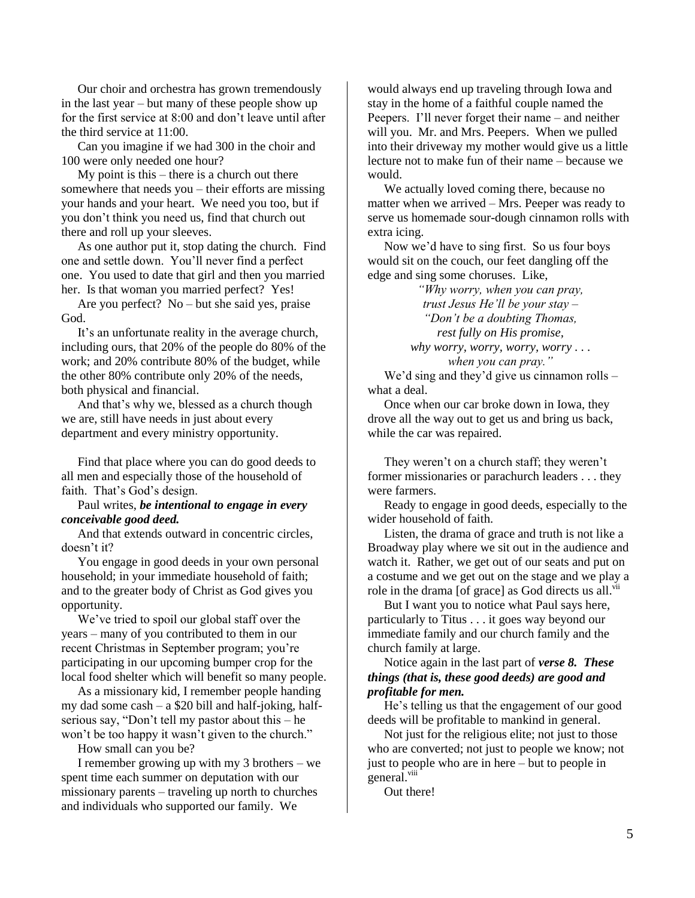Our choir and orchestra has grown tremendously in the last year – but many of these people show up for the first service at 8:00 and don't leave until after the third service at 11:00.

Can you imagine if we had 300 in the choir and 100 were only needed one hour?

My point is this – there is a church out there somewhere that needs you – their efforts are missing your hands and your heart. We need you too, but if you don't think you need us, find that church out there and roll up your sleeves.

As one author put it, stop dating the church. Find one and settle down. You'll never find a perfect one. You used to date that girl and then you married her. Is that woman you married perfect? Yes!

Are you perfect? No – but she said yes, praise God.

It's an unfortunate reality in the average church, including ours, that 20% of the people do 80% of the work; and 20% contribute 80% of the budget, while the other 80% contribute only 20% of the needs, both physical and financial.

And that's why we, blessed as a church though we are, still have needs in just about every department and every ministry opportunity.

Find that place where you can do good deeds to all men and especially those of the household of faith. That's God's design.

## Paul writes, *be intentional to engage in every conceivable good deed.*

And that extends outward in concentric circles, doesn't it?

You engage in good deeds in your own personal household; in your immediate household of faith; and to the greater body of Christ as God gives you opportunity.

We've tried to spoil our global staff over the years – many of you contributed to them in our recent Christmas in September program; you're participating in our upcoming bumper crop for the local food shelter which will benefit so many people.

As a missionary kid, I remember people handing my dad some cash – a \$20 bill and half-joking, halfserious say, "Don't tell my pastor about this – he won't be too happy it wasn't given to the church."

How small can you be?

I remember growing up with my 3 brothers – we spent time each summer on deputation with our missionary parents – traveling up north to churches and individuals who supported our family. We

would always end up traveling through Iowa and stay in the home of a faithful couple named the Peepers. I'll never forget their name – and neither will you. Mr. and Mrs. Peepers. When we pulled into their driveway my mother would give us a little lecture not to make fun of their name – because we would.

We actually loved coming there, because no matter when we arrived – Mrs. Peeper was ready to serve us homemade sour-dough cinnamon rolls with extra icing.

Now we'd have to sing first. So us four boys would sit on the couch, our feet dangling off the edge and sing some choruses. Like,

> *"Why worry, when you can pray, trust Jesus He'll be your stay – "Don't be a doubting Thomas, rest fully on His promise, why worry, worry, worry, worry . . . when you can pray."*

We'd sing and they'd give us cinnamon rolls – what a deal.

Once when our car broke down in Iowa, they drove all the way out to get us and bring us back, while the car was repaired.

They weren't on a church staff; they weren't former missionaries or parachurch leaders . . . they were farmers.

Ready to engage in good deeds, especially to the wider household of faith.

Listen, the drama of grace and truth is not like a Broadway play where we sit out in the audience and watch it. Rather, we get out of our seats and put on a costume and we get out on the stage and we play a role in the drama [of grace] as God directs us all.<sup>vii</sup>

But I want you to notice what Paul says here, particularly to Titus . . . it goes way beyond our immediate family and our church family and the church family at large.

Notice again in the last part of *verse 8. These things (that is, these good deeds) are good and profitable for men.*

He's telling us that the engagement of our good deeds will be profitable to mankind in general.

Not just for the religious elite; not just to those who are converted; not just to people we know; not just to people who are in here – but to people in general.<sup>viii</sup>

Out there!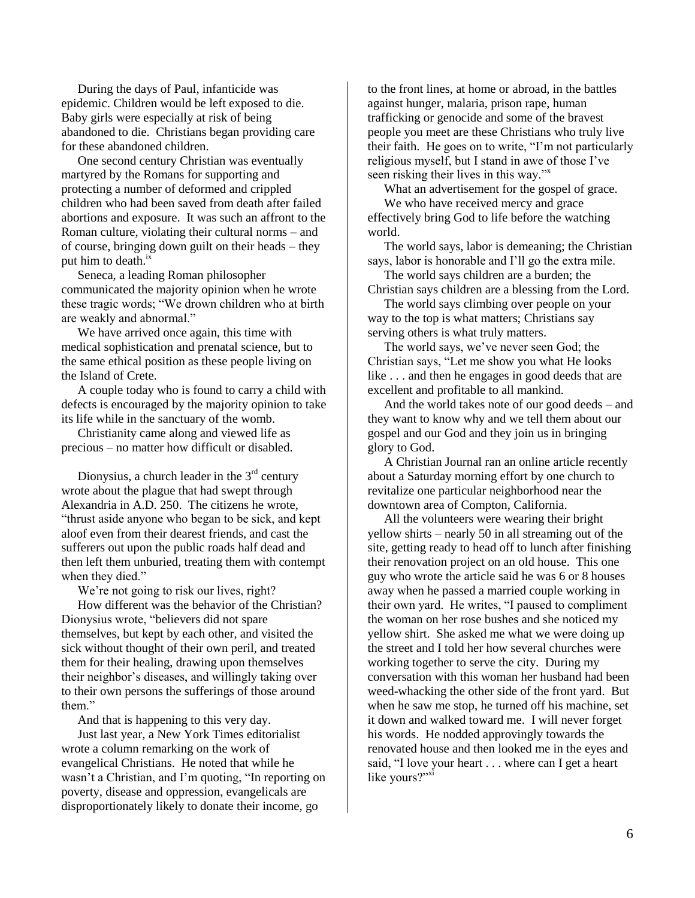During the days of Paul, infanticide was epidemic. Children would be left exposed to die. Baby girls were especially at risk of being abandoned to die. Christians began providing care for these abandoned children.

One second century Christian was eventually martyred by the Romans for supporting and protecting a number of deformed and crippled children who had been saved from death after failed abortions and exposure. It was such an affront to the Roman culture, violating their cultural norms – and of course, bringing down guilt on their heads – they put him to death.<sup>ix</sup>

Seneca, a leading Roman philosopher communicated the majority opinion when he wrote these tragic words; "We drown children who at birth are weakly and abnormal."

We have arrived once again, this time with medical sophistication and prenatal science, but to the same ethical position as these people living on the Island of Crete.

A couple today who is found to carry a child with defects is encouraged by the majority opinion to take its life while in the sanctuary of the womb.

Christianity came along and viewed life as precious – no matter how difficult or disabled.

Dionysius, a church leader in the  $3<sup>rd</sup>$  century wrote about the plague that had swept through Alexandria in A.D. 250. The citizens he wrote, "thrust aside anyone who began to be sick, and kept aloof even from their dearest friends, and cast the sufferers out upon the public roads half dead and then left them unburied, treating them with contempt when they died."

We're not going to risk our lives, right?

How different was the behavior of the Christian? Dionysius wrote, "believers did not spare themselves, but kept by each other, and visited the sick without thought of their own peril, and treated them for their healing, drawing upon themselves their neighbor's diseases, and willingly taking over to their own persons the sufferings of those around them."

And that is happening to this very day.

Just last year, a New York Times editorialist wrote a column remarking on the work of evangelical Christians. He noted that while he wasn't a Christian, and I'm quoting, "In reporting on poverty, disease and oppression, evangelicals are disproportionately likely to donate their income, go

to the front lines, at home or abroad, in the battles against hunger, malaria, prison rape, human trafficking or genocide and some of the bravest people you meet are these Christians who truly live their faith. He goes on to write, "I'm not particularly religious myself, but I stand in awe of those I've seen risking their lives in this way."

What an advertisement for the gospel of grace.

We who have received mercy and grace effectively bring God to life before the watching world.

The world says, labor is demeaning; the Christian says, labor is honorable and I'll go the extra mile.

The world says children are a burden; the Christian says children are a blessing from the Lord.

The world says climbing over people on your way to the top is what matters; Christians say serving others is what truly matters.

The world says, we've never seen God; the Christian says, "Let me show you what He looks like . . . and then he engages in good deeds that are excellent and profitable to all mankind.

And the world takes note of our good deeds – and they want to know why and we tell them about our gospel and our God and they join us in bringing glory to God.

A Christian Journal ran an online article recently about a Saturday morning effort by one church to revitalize one particular neighborhood near the downtown area of Compton, California.

All the volunteers were wearing their bright yellow shirts – nearly 50 in all streaming out of the site, getting ready to head off to lunch after finishing their renovation project on an old house. This one guy who wrote the article said he was 6 or 8 houses away when he passed a married couple working in their own yard. He writes, "I paused to compliment the woman on her rose bushes and she noticed my yellow shirt. She asked me what we were doing up the street and I told her how several churches were working together to serve the city. During my conversation with this woman her husband had been weed-whacking the other side of the front yard. But when he saw me stop, he turned off his machine, set it down and walked toward me. I will never forget his words. He nodded approvingly towards the renovated house and then looked me in the eyes and said, "I love your heart . . . where can I get a heart like yours?"xi